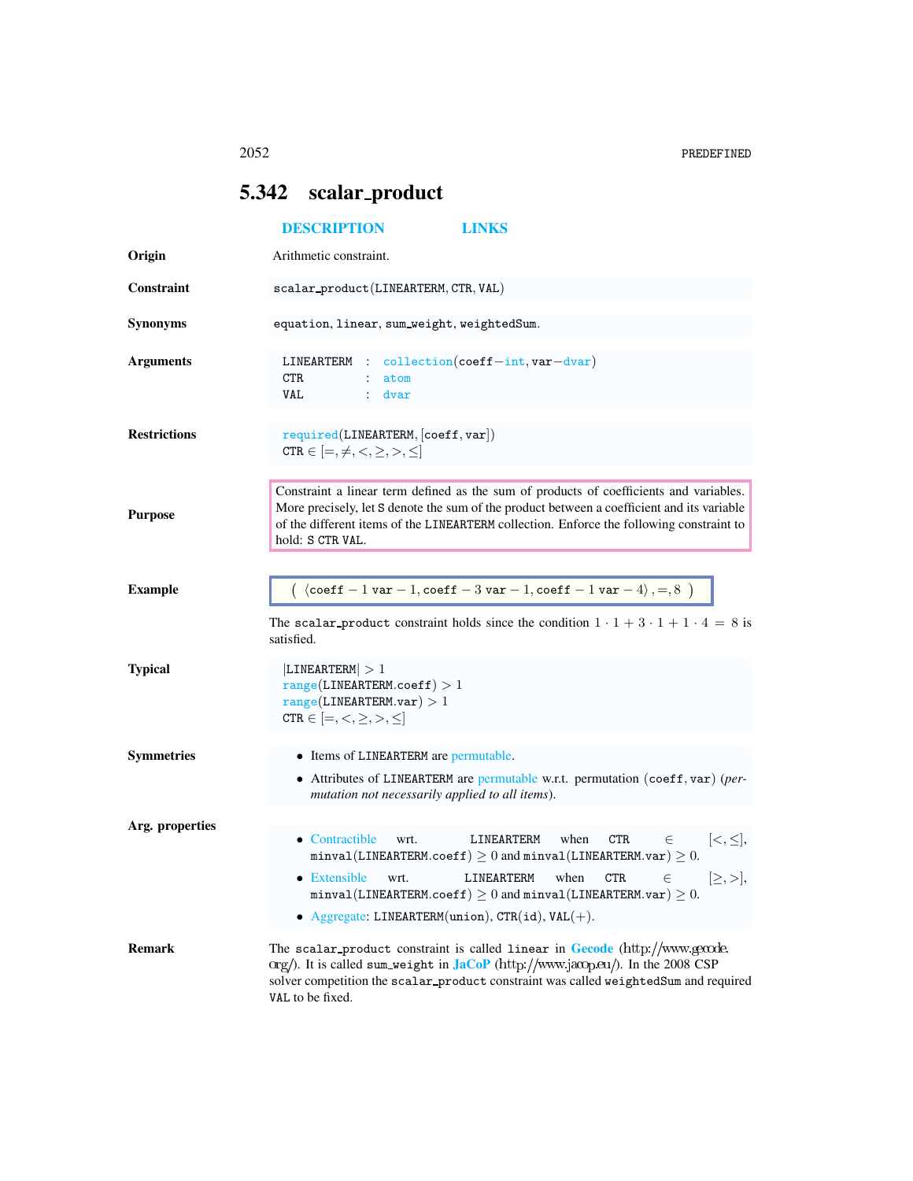## <span id="page-0-0"></span>5.342 scalar\_product

|                     | <b>DESCRIPTION</b><br><b>LINKS</b>                                                                                                                                                                                                                                                                                                                                                                                                                                                            |
|---------------------|-----------------------------------------------------------------------------------------------------------------------------------------------------------------------------------------------------------------------------------------------------------------------------------------------------------------------------------------------------------------------------------------------------------------------------------------------------------------------------------------------|
| Origin              | Arithmetic constraint.                                                                                                                                                                                                                                                                                                                                                                                                                                                                        |
| <b>Constraint</b>   | scalar_product(LINEARTERM, CTR, VAL)                                                                                                                                                                                                                                                                                                                                                                                                                                                          |
| <b>Synonyms</b>     | equation, linear, sum_weight, weightedSum.                                                                                                                                                                                                                                                                                                                                                                                                                                                    |
| <b>Arguments</b>    | LINEARTERM : collection(coeff-int, var-dvar)<br>CTR<br>: atom<br><b>VAL</b><br>$:$ dvar                                                                                                                                                                                                                                                                                                                                                                                                       |
| <b>Restrictions</b> | required(LINEARTERM, [coeff, var])<br>CTR $\in$ $[=,\neq,<,\geq,>,\leq]$                                                                                                                                                                                                                                                                                                                                                                                                                      |
| <b>Purpose</b>      | Constraint a linear term defined as the sum of products of coefficients and variables.<br>More precisely, let S denote the sum of the product between a coefficient and its variable<br>of the different items of the LINEARTERM collection. Enforce the following constraint to<br>hold: S CTR VAL.                                                                                                                                                                                          |
| <b>Example</b>      | $\left( \begin{array}{c} \langle \text{coeff} -1 \text{ var} -1, \text{coeff} -3 \text{ var} -1, \text{coeff} -1 \text{ var} -4 \rangle, =, 8 \end{array} \right)$<br>The scalar product constraint holds since the condition $1 \cdot 1 + 3 \cdot 1 + 1 \cdot 4 = 8$ is<br>satisfied.                                                                                                                                                                                                        |
| <b>Typical</b>      | LINEARTERM  > 1<br>range(LINEARTERM.coeff) > 1<br>$range(LINEARTERM-var) > 1$<br>CTR $\in$ $[=,<,\geq,>,\leq]$                                                                                                                                                                                                                                                                                                                                                                                |
| <b>Symmetries</b>   | • Items of LINEARTERM are permutable.<br>• Attributes of LINEARTERM are permutable w.r.t. permutation (coeff, var) (per-<br>mutation not necessarily applied to all items).                                                                                                                                                                                                                                                                                                                   |
| Arg. properties     | • Contractible<br>$[<,\leq],$<br>LINEARTERM<br>when<br><b>CTR</b><br>$\in$<br>wrt.<br>$\texttt{minval}(\texttt{LINEARTERM}.\texttt{coeff})\geq 0$ and $\texttt{minval}(\texttt{LINEARTERM}.\texttt{var})\geq 0.$<br>• Extensible<br>LINEARTERM<br>when<br><b>CTR</b><br>$\in$<br>wrt.<br>$[\geq, >],$<br>$\texttt{minval}(\texttt{LINEARTERM}.\texttt{coeff}) \geq 0$ and $\texttt{minval}(\texttt{LINEARTERM}.\texttt{var}) \geq 0$ .<br>• Aggregate: LINEARTERM(union), CTR(id), $VAL(+)$ . |
| <b>Remark</b>       | The scalar product constraint is called linear in <b>Gecode</b> $\frac{\text{http://www.gecode}}{\text{http://www.gecode}}}$<br>org/). It is called sum_weight in $JacOP$ (http://www.jacop.eu/). In the 2008 CSP<br>solver competition the scalar_product constraint was called weightedSum and required<br>VAL to be fixed.                                                                                                                                                                 |